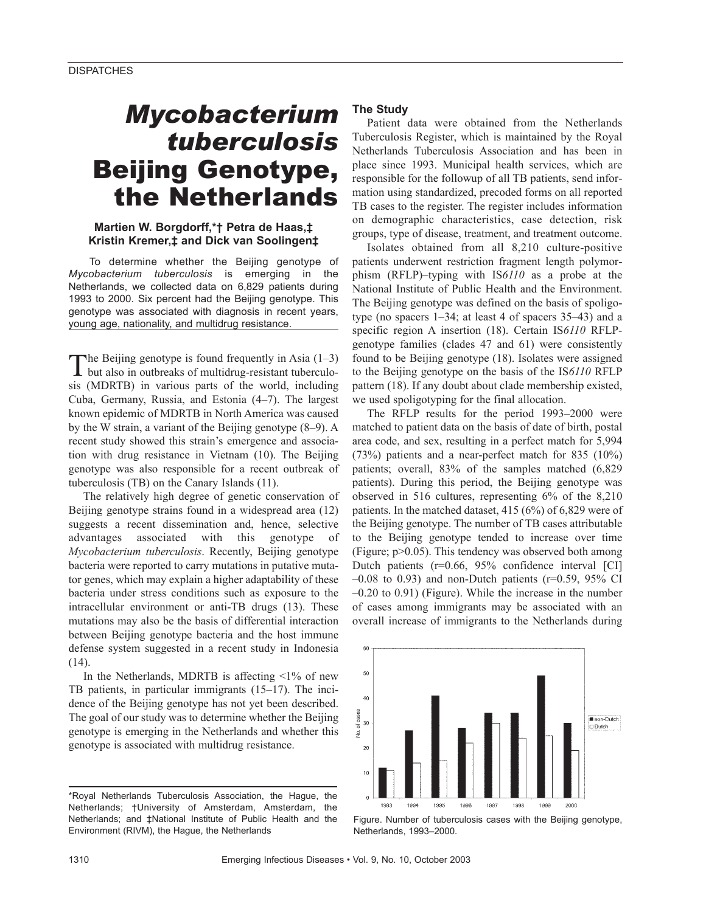# *Mycobacterium tuberculosis* Beijing Genotype, the Netherlands

## **Martien W. Borgdorff,\*† Petra de Haas,‡ Kristin Kremer,‡ and Dick van Soolingen‡**

To determine whether the Beijing genotype of *Mycobacterium tuberculosis* is emerging in the Netherlands, we collected data on 6,829 patients during 1993 to 2000. Six percent had the Beijing genotype. This genotype was associated with diagnosis in recent years, young age, nationality, and multidrug resistance.

The Beijing genotype is found frequently in Asia (1–3)<br>but also in outbreaks of multidrug-resistant tuberculosis (MDRTB) in various parts of the world, including Cuba, Germany, Russia, and Estonia (4–7). The largest known epidemic of MDRTB in North America was caused by the W strain, a variant of the Beijing genotype (8–9). A recent study showed this strain's emergence and association with drug resistance in Vietnam (10). The Beijing genotype was also responsible for a recent outbreak of tuberculosis (TB) on the Canary Islands (11).

The relatively high degree of genetic conservation of Beijing genotype strains found in a widespread area (12) suggests a recent dissemination and, hence, selective advantages associated with this genotype of *Mycobacterium tuberculosis*. Recently, Beijing genotype bacteria were reported to carry mutations in putative mutator genes, which may explain a higher adaptability of these bacteria under stress conditions such as exposure to the intracellular environment or anti-TB drugs (13). These mutations may also be the basis of differential interaction between Beijing genotype bacteria and the host immune defense system suggested in a recent study in Indonesia (14).

In the Netherlands, MDRTB is affecting  $\leq 1\%$  of new TB patients, in particular immigrants (15–17). The incidence of the Beijing genotype has not yet been described. The goal of our study was to determine whether the Beijing genotype is emerging in the Netherlands and whether this genotype is associated with multidrug resistance.

# **The Study**

Patient data were obtained from the Netherlands Tuberculosis Register, which is maintained by the Royal Netherlands Tuberculosis Association and has been in place since 1993. Municipal health services, which are responsible for the followup of all TB patients, send information using standardized, precoded forms on all reported TB cases to the register. The register includes information on demographic characteristics, case detection, risk groups, type of disease, treatment, and treatment outcome.

Isolates obtained from all 8,210 culture-positive patients underwent restriction fragment length polymorphism (RFLP)–typing with IS*6110* as a probe at the National Institute of Public Health and the Environment. The Beijing genotype was defined on the basis of spoligotype (no spacers 1–34; at least 4 of spacers 35–43) and a specific region A insertion (18). Certain IS*6110* RFLPgenotype families (clades 47 and 61) were consistently found to be Beijing genotype (18). Isolates were assigned to the Beijing genotype on the basis of the IS*6110* RFLP pattern (18). If any doubt about clade membership existed, we used spoligotyping for the final allocation.

The RFLP results for the period 1993–2000 were matched to patient data on the basis of date of birth, postal area code, and sex, resulting in a perfect match for 5,994 (73%) patients and a near-perfect match for 835 (10%) patients; overall, 83% of the samples matched (6,829 patients). During this period, the Beijing genotype was observed in 516 cultures, representing 6% of the 8,210 patients. In the matched dataset, 415 (6%) of 6,829 were of the Beijing genotype. The number of TB cases attributable to the Beijing genotype tended to increase over time (Figure;  $p > 0.05$ ). This tendency was observed both among Dutch patients (r=0.66, 95% confidence interval [CI]  $-0.08$  to 0.93) and non-Dutch patients (r=0.59, 95% CI –0.20 to 0.91) (Figure). While the increase in the number of cases among immigrants may be associated with an overall increase of immigrants to the Netherlands during





<sup>\*</sup>Royal Netherlands Tuberculosis Association, the Hague, the Netherlands; †University of Amsterdam, Amsterdam, the Netherlands; and ‡National Institute of Public Health and the Environment (RIVM), the Hague, the Netherlands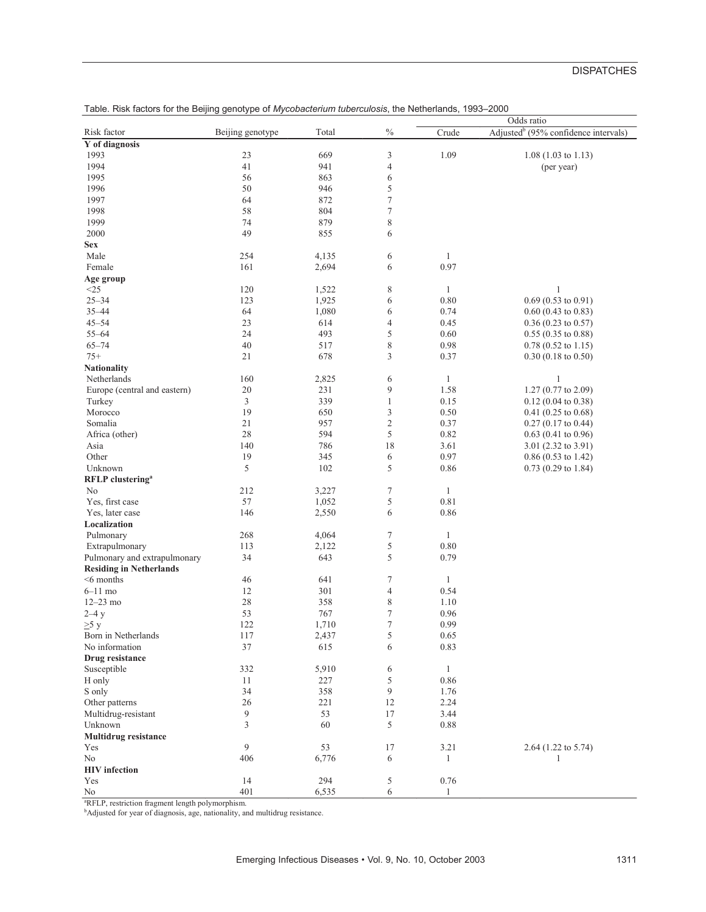# **DISPATCHES**

|                                                                                          |                  |       |                  |              | Odds ratio                                       |
|------------------------------------------------------------------------------------------|------------------|-------|------------------|--------------|--------------------------------------------------|
| Risk factor                                                                              | Beijing genotype | Total | $\%$             | Crude        | Adjusted <sup>b</sup> (95% confidence intervals) |
| Y of diagnosis                                                                           |                  |       |                  |              |                                                  |
| 1993                                                                                     | 23               | 669   | 3                | 1.09         | $1.08(1.03 \text{ to } 1.13)$                    |
| 1994                                                                                     | 41               | 941   | 4                |              | (per year)                                       |
|                                                                                          | 56               |       |                  |              |                                                  |
| 1995                                                                                     |                  | 863   | 6                |              |                                                  |
| 1996                                                                                     | 50               | 946   | 5                |              |                                                  |
| 1997                                                                                     | 64               | 872   | $\tau$           |              |                                                  |
| 1998                                                                                     | 58               | 804   | $\boldsymbol{7}$ |              |                                                  |
| 1999                                                                                     | 74               | 879   | $\,$ 8 $\,$      |              |                                                  |
| 2000                                                                                     | 49               | 855   | 6                |              |                                                  |
| <b>Sex</b>                                                                               |                  |       |                  |              |                                                  |
| Male                                                                                     | 254              | 4,135 | 6                | 1            |                                                  |
| Female                                                                                   | 161              | 2,694 | 6                | 0.97         |                                                  |
| Age group                                                                                |                  |       |                  |              |                                                  |
| $<$ 25                                                                                   | 120              | 1,522 | 8                | $\mathbf{1}$ | 1                                                |
| $25 - 34$                                                                                | 123              |       | 6                | 0.80         | $0.69(0.53 \text{ to } 0.91)$                    |
|                                                                                          |                  | 1,925 |                  |              |                                                  |
| $35 - 44$                                                                                | 64               | 1,080 | 6                | 0.74         | $0.60$ (0.43 to 0.83)                            |
| $45 - 54$                                                                                | 23               | 614   | $\overline{4}$   | 0.45         | $0.36$ (0.23 to 0.57)                            |
| $55 - 64$                                                                                | 24               | 493   | 5                | 0.60         | $0.55(0.35 \text{ to } 0.88)$                    |
| $65 - 74$                                                                                | 40               | 517   | 8                | 0.98         | $0.78$ (0.52 to 1.15)                            |
| $75+$                                                                                    | 21               | 678   | 3                | 0.37         | $0.30(0.18 \text{ to } 0.50)$                    |
| <b>Nationality</b>                                                                       |                  |       |                  |              |                                                  |
| Netherlands                                                                              | 160              | 2,825 | 6                | $\mathbf{1}$ | 1                                                |
| Europe (central and eastern)                                                             | $20\,$           | 231   | 9                | 1.58         | 1.27 (0.77 to 2.09)                              |
| Turkey                                                                                   | 3                | 339   | $\mathbf{1}$     | 0.15         | $0.12$ (0.04 to 0.38)                            |
| Morocco                                                                                  | 19               | 650   | 3                | 0.50         | $0.41$ (0.25 to 0.68)                            |
| Somalia                                                                                  | 21               | 957   | $\mathbf{2}$     | 0.37         | $0.27(0.17 \text{ to } 0.44)$                    |
| Africa (other)                                                                           | 28               | 594   | 5                | 0.82         |                                                  |
|                                                                                          |                  |       |                  |              | $0.63$ (0.41 to 0.96)                            |
| Asia                                                                                     | 140              | 786   | 18               | 3.61         | 3.01 $(2.32 \text{ to } 3.91)$                   |
| Other                                                                                    | 19               | 345   | 6                | 0.97         | $0.86(0.53 \text{ to } 1.42)$                    |
| Unknown                                                                                  | 5                | 102   | 5                | 0.86         | $0.73$ (0.29 to 1.84)                            |
| <b>RFLP</b> clustering <sup>a</sup>                                                      |                  |       |                  |              |                                                  |
| No                                                                                       | 212              | 3,227 | $\tau$           | $\mathbf{1}$ |                                                  |
| Yes, first case                                                                          | 57               | 1,052 | 5                | 0.81         |                                                  |
| Yes, later case                                                                          | 146              | 2,550 | 6                | 0.86         |                                                  |
| Localization                                                                             |                  |       |                  |              |                                                  |
| Pulmonary                                                                                | 268              | 4,064 | $\tau$           | $\mathbf{1}$ |                                                  |
| Extrapulmonary                                                                           | 113              | 2,122 | 5                | $0.80\,$     |                                                  |
| Pulmonary and extrapulmonary                                                             | 34               | 643   | 5                | 0.79         |                                                  |
| <b>Residing in Netherlands</b>                                                           |                  |       |                  |              |                                                  |
| $<$ 6 months                                                                             | 46               | 641   | 7                | $\mathbf{1}$ |                                                  |
|                                                                                          |                  |       |                  |              |                                                  |
| $6-11$ mo                                                                                | 12               | 301   | $\overline{4}$   | 0.54         |                                                  |
| $12 - 23$ mo                                                                             | 28               | 358   | 8                | 1.10         |                                                  |
| $2-4y$                                                                                   | 53               | 767   | 7                | 0.96         |                                                  |
| $\geq$ 5 y                                                                               | 122              | 1,710 | $\tau$           | 0.99         |                                                  |
| Born in Netherlands                                                                      | 117              | 2,437 | 5                | 0.65         |                                                  |
| No information                                                                           | 37               | 615   | 6                | 0.83         |                                                  |
| Drug resistance                                                                          |                  |       |                  |              |                                                  |
| Susceptible                                                                              | 332              | 5,910 | 6                | $\mathbf{1}$ |                                                  |
| H only                                                                                   | 11               | 227   | 5                | 0.86         |                                                  |
| S only                                                                                   | 34               | 358   | 9                | 1.76         |                                                  |
| Other patterns                                                                           | 26               | 221   | 12               | 2.24         |                                                  |
| Multidrug-resistant                                                                      | 9                | 53    | 17               | 3.44         |                                                  |
|                                                                                          |                  |       |                  |              |                                                  |
| Unknown                                                                                  | 3                | 60    | 5                | 0.88         |                                                  |
| <b>Multidrug resistance</b>                                                              |                  |       |                  |              |                                                  |
| Yes                                                                                      | 9                | 53    | 17               | 3.21         | 2.64 (1.22 to 5.74)                              |
| No                                                                                       | 406              | 6,776 | 6                | 1            | 1                                                |
| <b>HIV</b> infection                                                                     |                  |       |                  |              |                                                  |
| Yes                                                                                      | 14               | 294   | 5                | 0.76         |                                                  |
| No                                                                                       | 401              | 6,535 | 6                | $\mathbf{1}$ |                                                  |
| <sup>a</sup> RFLP, restriction fragment length polymorphism.                             |                  |       |                  |              |                                                  |
| <sup>b</sup> Adjusted for year of diagnosis, age, nationality, and multidrug resistance. |                  |       |                  |              |                                                  |

Table. Risk factors for the Beijing genotype of *Mycobacterium tuberculosis*, the Netherlands, 1993–2000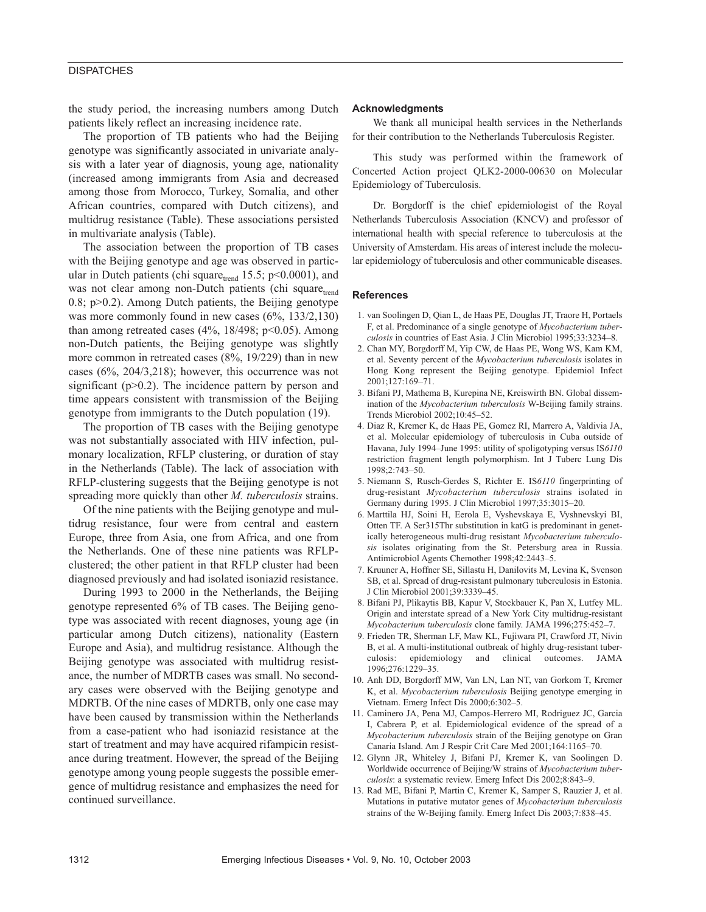## **DISPATCHES**

the study period, the increasing numbers among Dutch patients likely reflect an increasing incidence rate.

The proportion of TB patients who had the Beijing genotype was significantly associated in univariate analysis with a later year of diagnosis, young age, nationality (increased among immigrants from Asia and decreased among those from Morocco, Turkey, Somalia, and other African countries, compared with Dutch citizens), and multidrug resistance (Table). These associations persisted in multivariate analysis (Table).

The association between the proportion of TB cases with the Beijing genotype and age was observed in particular in Dutch patients (chi square $_{\text{trend}}$  15.5; p<0.0001), and was not clear among non-Dutch patients (chi square<sub>trend</sub> 0.8;  $p > 0.2$ ). Among Dutch patients, the Beijing genotype was more commonly found in new cases (6%, 133/2,130) than among retreated cases  $(4\%, 18/498; p<0.05)$ . Among non-Dutch patients, the Beijing genotype was slightly more common in retreated cases (8%, 19/229) than in new cases (6%, 204/3,218); however, this occurrence was not significant ( $p>0.2$ ). The incidence pattern by person and time appears consistent with transmission of the Beijing genotype from immigrants to the Dutch population (19).

The proportion of TB cases with the Beijing genotype was not substantially associated with HIV infection, pulmonary localization, RFLP clustering, or duration of stay in the Netherlands (Table). The lack of association with RFLP-clustering suggests that the Beijing genotype is not spreading more quickly than other *M. tuberculosis* strains.

Of the nine patients with the Beijing genotype and multidrug resistance, four were from central and eastern Europe, three from Asia, one from Africa, and one from the Netherlands. One of these nine patients was RFLPclustered; the other patient in that RFLP cluster had been diagnosed previously and had isolated isoniazid resistance.

During 1993 to 2000 in the Netherlands, the Beijing genotype represented 6% of TB cases. The Beijing genotype was associated with recent diagnoses, young age (in particular among Dutch citizens), nationality (Eastern Europe and Asia), and multidrug resistance. Although the Beijing genotype was associated with multidrug resistance, the number of MDRTB cases was small. No secondary cases were observed with the Beijing genotype and MDRTB. Of the nine cases of MDRTB, only one case may have been caused by transmission within the Netherlands from a case-patient who had isoniazid resistance at the start of treatment and may have acquired rifampicin resistance during treatment. However, the spread of the Beijing genotype among young people suggests the possible emergence of multidrug resistance and emphasizes the need for continued surveillance.

### **Acknowledgments**

We thank all municipal health services in the Netherlands for their contribution to the Netherlands Tuberculosis Register.

This study was performed within the framework of Concerted Action project QLK2-2000-00630 on Molecular Epidemiology of Tuberculosis.

Dr. Borgdorff is the chief epidemiologist of the Royal Netherlands Tuberculosis Association (KNCV) and professor of international health with special reference to tuberculosis at the University of Amsterdam. His areas of interest include the molecular epidemiology of tuberculosis and other communicable diseases.

### **References**

- 1. van Soolingen D, Qian L, de Haas PE, Douglas JT, Traore H, Portaels F, et al. Predominance of a single genotype of *Mycobacterium tuberculosis* in countries of East Asia. J Clin Microbiol 1995;33:3234–8.
- 2. Chan MY, Borgdorff M, Yip CW, de Haas PE, Wong WS, Kam KM, et al. Seventy percent of the *Mycobacterium tuberculosis* isolates in Hong Kong represent the Beijing genotype. Epidemiol Infect 2001;127:169–71.
- 3. Bifani PJ, Mathema B, Kurepina NE, Kreiswirth BN. Global dissemination of the *Mycobacterium tuberculosis* W-Beijing family strains. Trends Microbiol 2002;10:45–52.
- 4. Diaz R, Kremer K, de Haas PE, Gomez RI, Marrero A, Valdivia JA, et al. Molecular epidemiology of tuberculosis in Cuba outside of Havana, July 1994–June 1995: utility of spoligotyping versus IS*6110* restriction fragment length polymorphism. Int J Tuberc Lung Dis 1998;2:743–50.
- 5. Niemann S, Rusch-Gerdes S, Richter E. IS*6110* fingerprinting of drug-resistant *Mycobacterium tuberculosis* strains isolated in Germany during 1995. J Clin Microbiol 1997;35:3015–20.
- 6. Marttila HJ, Soini H, Eerola E, Vyshevskaya E, Vyshnevskyi BI, Otten TF. A Ser315Thr substitution in katG is predominant in genetically heterogeneous multi-drug resistant *Mycobacterium tuberculosis* isolates originating from the St. Petersburg area in Russia. Antimicrobiol Agents Chemother 1998;42:2443–5.
- 7. Kruuner A, Hoffner SE, Sillastu H, Danilovits M, Levina K, Svenson SB, et al. Spread of drug-resistant pulmonary tuberculosis in Estonia. J Clin Microbiol 2001;39:3339–45.
- 8. Bifani PJ, Plikaytis BB, Kapur V, Stockbauer K, Pan X, Lutfey ML. Origin and interstate spread of a New York City multidrug-resistant *Mycobacterium tuberculosis* clone family. JAMA 1996;275:452–7.
- 9. Frieden TR, Sherman LF, Maw KL, Fujiwara PI, Crawford JT, Nivin B, et al. A multi-institutional outbreak of highly drug-resistant tuberculosis: epidemiology and clinical outcomes. JAMA 1996;276:1229–35.
- 10. Anh DD, Borgdorff MW, Van LN, Lan NT, van Gorkom T, Kremer K, et al. *Mycobacterium tuberculosis* Beijing genotype emerging in Vietnam. Emerg Infect Dis 2000;6:302–5.
- 11. Caminero JA, Pena MJ, Campos-Herrero MI, Rodriguez JC, Garcia I, Cabrera P, et al. Epidemiological evidence of the spread of a *Mycobacterium tuberculosis* strain of the Beijing genotype on Gran Canaria Island. Am J Respir Crit Care Med 2001;164:1165–70.
- 12. Glynn JR, Whiteley J, Bifani PJ, Kremer K, van Soolingen D. Worldwide occurrence of Beijing/W strains of *Mycobacterium tuberculosis*: a systematic review. Emerg Infect Dis 2002;8:843–9.
- 13. Rad ME, Bifani P, Martin C, Kremer K, Samper S, Rauzier J, et al. Mutations in putative mutator genes of *Mycobacterium tuberculosis* strains of the W-Beijing family. Emerg Infect Dis 2003;7:838–45.